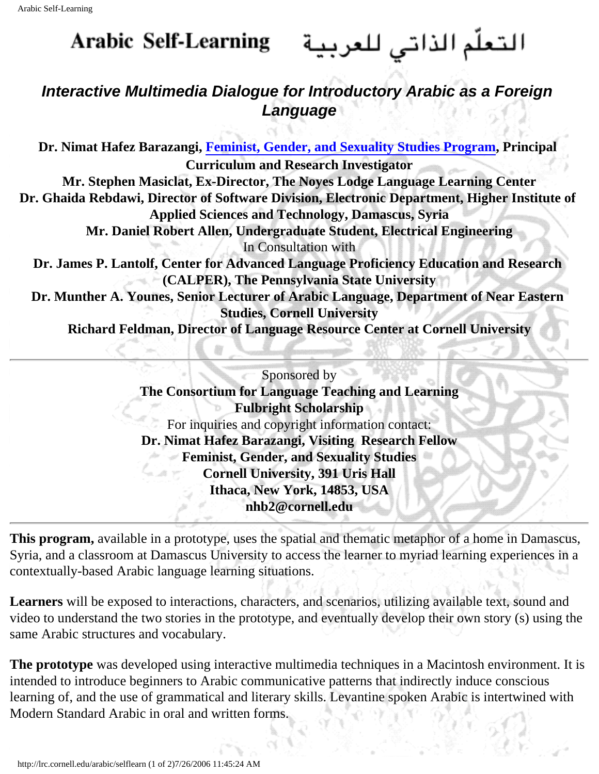## **Arabic Self-Learning**

## التعلّم الذاتي للعربية

## **Interactive Multimedia Dialogue for Introductory Arabic as a Foreign Language**

**Dr. Nimat Hafez Barazangi, [Feminist, Gender, and Sexuality Studies Program](http://www.arts.cornell.edu/fgss/people/affiliatedfaculty.html), Principal Curriculum and Research Investigator Mr. Stephen Masiclat, Ex-Director, The Noyes Lodge Language Learning Center Dr. Ghaida Rebdawi, Director of Software Division, Electronic Department, Higher Institute of Applied Sciences and Technology, Damascus, Syria Mr. Daniel Robert Allen, Undergraduate Student, Electrical Engineering** In Consultation with **Dr. James P. Lantolf, Center for Advanced Language Proficiency Education and Research (CALPER), The Pennsylvania State University Dr. Munther A. Younes, Senior Lecturer of Arabic Language, Department of Near Eastern Studies, Cornell University Richard Feldman, Director of Language Resource Center at Cornell University**

> Sponsored by **The Consortium for Language Teaching and Learning Fulbright Scholarship**  For inquiries and copyright information contact: **Dr. Nimat Hafez Barazangi, Visiting Research Fellow Feminist, Gender, and Sexuality Studies**  Guar **Cornell University, 391 Uris Hall Ithaca, New York, 14853, USA nhb2@cornell.edu**

**This program,** available in a prototype, uses the spatial and thematic metaphor of a home in Damascus, Syria, and a classroom at Damascus University to access the learner to myriad learning experiences in a contextually-based Arabic language learning situations.

**Learners** will be exposed to interactions, characters, and scenarios, utilizing available text, sound and video to understand the two stories in the prototype, and eventually develop their own story (s) using the same Arabic structures and vocabulary.

**The prototype** was developed using interactive multimedia techniques in a Macintosh environment. It is intended to introduce beginners to Arabic communicative patterns that indirectly induce conscious learning of, and the use of grammatical and literary skills. Levantine spoken Arabic is intertwined with Modern Standard Arabic in oral and written forms.